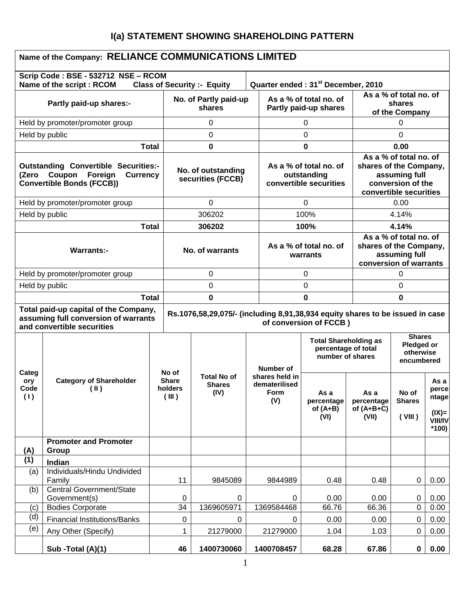# **I(a) STATEMENT SHOWING SHAREHOLDING PATTERN**

| Name of the Company: RELIANCE COMMUNICATIONS LIMITED                                                        |                                                                                                                         |              |                                         |                                                                                      |                                                |                                                                 |                                                        |                                                                                                                  |                                                    |                                                                 |  |
|-------------------------------------------------------------------------------------------------------------|-------------------------------------------------------------------------------------------------------------------------|--------------|-----------------------------------------|--------------------------------------------------------------------------------------|------------------------------------------------|-----------------------------------------------------------------|--------------------------------------------------------|------------------------------------------------------------------------------------------------------------------|----------------------------------------------------|-----------------------------------------------------------------|--|
|                                                                                                             | Scrip Code: BSE - 532712 NSE - RCOM<br>Name of the script : RCOM                                                        |              |                                         | <b>Class of Security :- Equity</b>                                                   |                                                |                                                                 | Quarter ended: 31 <sup>st</sup> December, 2010         |                                                                                                                  |                                                    |                                                                 |  |
| Partly paid-up shares:-                                                                                     |                                                                                                                         |              | No. of Partly paid-up<br>shares         |                                                                                      |                                                | As a % of total no. of<br>Partly paid-up shares                 |                                                        |                                                                                                                  | As a % of total no. of<br>shares<br>of the Company |                                                                 |  |
|                                                                                                             | Held by promoter/promoter group                                                                                         |              |                                         | 0                                                                                    |                                                |                                                                 | 0                                                      |                                                                                                                  | 0                                                  |                                                                 |  |
| Held by public                                                                                              |                                                                                                                         |              |                                         | 0                                                                                    |                                                |                                                                 | 0                                                      |                                                                                                                  | 0                                                  |                                                                 |  |
|                                                                                                             |                                                                                                                         | <b>Total</b> |                                         | 0                                                                                    |                                                |                                                                 | 0                                                      |                                                                                                                  | 0.00                                               |                                                                 |  |
| (Zero                                                                                                       | <b>Outstanding Convertible Securities:-</b><br>Foreign<br><b>Currency</b><br>Coupon<br><b>Convertible Bonds (FCCB))</b> |              | No. of outstanding<br>securities (FCCB) |                                                                                      |                                                | As a % of total no. of<br>outstanding<br>convertible securities |                                                        | As a % of total no. of<br>shares of the Company,<br>assuming full<br>conversion of the<br>convertible securities |                                                    |                                                                 |  |
|                                                                                                             | Held by promoter/promoter group                                                                                         |              |                                         | $\Omega$                                                                             |                                                |                                                                 | $\Omega$                                               |                                                                                                                  | 0.00                                               |                                                                 |  |
| Held by public                                                                                              |                                                                                                                         |              |                                         | 306202                                                                               |                                                |                                                                 | 100%                                                   |                                                                                                                  | 4.14%                                              |                                                                 |  |
|                                                                                                             |                                                                                                                         | <b>Total</b> |                                         | 306202                                                                               |                                                |                                                                 | 100%                                                   |                                                                                                                  | 4.14%                                              |                                                                 |  |
| <b>Warrants:-</b>                                                                                           |                                                                                                                         |              | No. of warrants                         |                                                                                      |                                                | As a % of total no. of<br>warrants                              |                                                        | As a % of total no. of<br>shares of the Company,<br>assuming full<br>conversion of warrants                      |                                                    |                                                                 |  |
|                                                                                                             | Held by promoter/promoter group                                                                                         |              | 0                                       |                                                                                      |                                                | 0                                                               |                                                        | 0                                                                                                                |                                                    |                                                                 |  |
| Held by public                                                                                              |                                                                                                                         |              | 0                                       |                                                                                      |                                                | 0                                                               |                                                        |                                                                                                                  | 0                                                  |                                                                 |  |
| <b>Total</b>                                                                                                |                                                                                                                         |              | 0                                       |                                                                                      |                                                | 0                                                               |                                                        | $\bf{0}$                                                                                                         |                                                    |                                                                 |  |
| Total paid-up capital of the Company,<br>assuming full conversion of warrants<br>and convertible securities |                                                                                                                         |              |                                         | Rs.1076,58,29,075/- (including 8,91,38,934 equity shares to be issued in case        |                                                |                                                                 | of conversion of FCCB)                                 |                                                                                                                  |                                                    |                                                                 |  |
|                                                                                                             |                                                                                                                         |              |                                         | <b>Total Shareholding as</b><br>percentage of total<br>number of shares<br>Number of |                                                |                                                                 | <b>Shares</b><br>Pledged or<br>otherwise<br>encumbered |                                                                                                                  |                                                    |                                                                 |  |
| Categ<br>ory<br>Code<br>(1)                                                                                 | <b>Category of Shareholder</b><br>$(\parallel)$                                                                         |              | No of<br>Share<br>holders<br>(III)      | <b>Total No of</b><br><b>Shares</b><br>(IV)                                          | shares held in<br>dematerilised<br>Form<br>(V) |                                                                 | As a<br>percentage<br>of $(A+B)$<br>(VI)               | As a<br>percentage<br>of $(A+B+C)$<br>(VII)                                                                      | No of<br><b>Shares</b><br>(VIII)                   | As a<br>perce<br>ntage<br>$I(X) =$<br><b>VIII/IV</b><br>$*100)$ |  |
| (A)                                                                                                         | <b>Promoter and Promoter</b><br>Group                                                                                   |              |                                         |                                                                                      |                                                |                                                                 |                                                        |                                                                                                                  |                                                    |                                                                 |  |
| (1)                                                                                                         | Indian                                                                                                                  |              |                                         |                                                                                      |                                                |                                                                 |                                                        |                                                                                                                  |                                                    |                                                                 |  |
| (a)                                                                                                         | Individuals/Hindu Undivided<br>Family                                                                                   |              | 11                                      | 9845089                                                                              |                                                | 9844989                                                         | 0.48                                                   | 0.48                                                                                                             | $\mathbf 0$                                        | 0.00                                                            |  |
| (b)                                                                                                         | Central Government/State                                                                                                |              |                                         |                                                                                      |                                                |                                                                 |                                                        |                                                                                                                  |                                                    |                                                                 |  |
| (c)                                                                                                         | Government(s)<br><b>Bodies Corporate</b>                                                                                |              | 0<br>34                                 | 0<br>1369605971                                                                      |                                                | 0<br>1369584468                                                 | 0.00<br>66.76                                          | 0.00<br>66.36                                                                                                    | 0<br>$\overline{0}$                                | 0.00<br>0.00                                                    |  |
| (d)                                                                                                         | <b>Financial Institutions/Banks</b>                                                                                     |              | $\pmb{0}$                               | 0                                                                                    |                                                | 0                                                               | 0.00                                                   | 0.00                                                                                                             | $\mathbf 0$                                        | 0.00                                                            |  |
| (e)                                                                                                         | Any Other (Specify)                                                                                                     |              | 1                                       | 21279000                                                                             |                                                | 21279000                                                        | 1.04                                                   | 1.03                                                                                                             | 0                                                  | 0.00                                                            |  |
|                                                                                                             | Sub -Total (A)(1)                                                                                                       |              | 46                                      | 1400730060                                                                           |                                                | 1400708457                                                      | 68.28                                                  | 67.86                                                                                                            | 0                                                  | 0.00                                                            |  |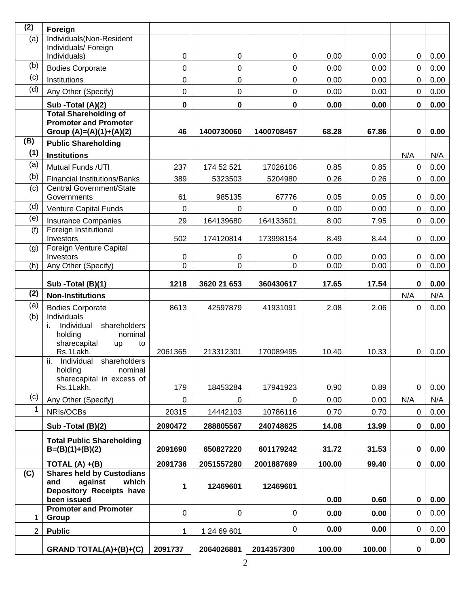| (2)          | Foreign                                                   |             |             |            |        |        |                |              |
|--------------|-----------------------------------------------------------|-------------|-------------|------------|--------|--------|----------------|--------------|
| (a)          | Individuals(Non-Resident                                  |             |             |            |        |        |                |              |
|              | Individuals/ Foreign<br>Individuals)                      | 0           | 0           | 0          | 0.00   | 0.00   | $\mathbf 0$    | 0.00         |
| (b)          | <b>Bodies Corporate</b>                                   | 0           | 0           | 0          | 0.00   | 0.00   | 0              | 0.00         |
| (c)          | Institutions                                              | 0           | 0           | 0          | 0.00   | 0.00   | $\mathbf 0$    | 0.00         |
| (d)          | Any Other (Specify)                                       | 0           | $\mathbf 0$ | 0          | 0.00   | 0.00   | 0              | 0.00         |
|              |                                                           |             |             |            |        |        |                |              |
|              | Sub -Total (A)(2)<br><b>Total Shareholding of</b>         | 0           | 0           | 0          | 0.00   | 0.00   | 0              | 0.00         |
|              | <b>Promoter and Promoter</b><br>Group $(A)=(A)(1)+(A)(2)$ | 46          | 1400730060  | 1400708457 | 68.28  | 67.86  | 0              | 0.00         |
| (B)          | <b>Public Shareholding</b>                                |             |             |            |        |        |                |              |
| (1)          | <b>Institutions</b>                                       |             |             |            |        |        | N/A            | N/A          |
| (a)          | Mutual Funds /UTI                                         | 237         | 174 52 521  | 17026106   | 0.85   | 0.85   | $\mathbf 0$    | 0.00         |
| (b)          | <b>Financial Institutions/Banks</b>                       | 389         | 5323503     | 5204980    | 0.26   | 0.26   | 0              | 0.00         |
| (c)          | Central Government/State                                  |             |             |            |        |        |                |              |
|              | Governments                                               | 61          | 985135      | 67776      | 0.05   | 0.05   | 0              | 0.00         |
| (d)          | Venture Capital Funds                                     | $\Omega$    | $\mathbf 0$ | $\Omega$   | 0.00   | 0.00   | $\overline{0}$ | 0.00         |
| (e)          | <b>Insurance Companies</b>                                | 29          | 164139680   | 164133601  | 8.00   | 7.95   | $\mathbf 0$    | 0.00         |
| (f)          | Foreign Institutional<br>Investors                        | 502         | 174120814   | 173998154  | 8.49   | 8.44   | 0              | 0.00         |
| (g)          | Foreign Venture Capital                                   |             |             |            |        |        |                |              |
|              | Investors                                                 | 0           | 0           | 0          | 0.00   | 0.00   | 0              | 0.00         |
| (h)          | Any Other (Specify)                                       | 0           | 0           | 0          | 0.00   | 0.00   | $\overline{0}$ | 0.00         |
|              | Sub -Total (B)(1)                                         | 1218        | 3620 21 653 | 360430617  | 17.65  | 17.54  | 0              | 0.00         |
| (2)          | <b>Non-Institutions</b>                                   |             |             |            |        |        | N/A            | N/A          |
| (a)          | <b>Bodies Corporate</b>                                   | 8613        | 42597879    | 41931091   | 2.08   | 2.06   | $\mathbf 0$    | 0.00         |
| (b)          | Individuals                                               |             |             |            |        |        |                |              |
|              | shareholders<br>Individual<br>Τ.<br>holding<br>nominal    |             |             |            |        |        |                |              |
|              | sharecapital<br>up<br>to                                  |             |             |            |        |        |                |              |
|              | Rs.1Lakh.                                                 | 2061365     | 213312301   | 170089495  | 10.40  | 10.33  | 0              | 0.00         |
|              | ii.<br>Individual<br>shareholders<br>holding<br>nominal   |             |             |            |        |        |                |              |
|              | sharecapital in excess of                                 |             |             |            |        |        |                |              |
|              | Rs.1Lakh.                                                 | 179         | 18453284    | 17941923   | 0.90   | 0.89   | $\overline{0}$ | 0.00         |
| (c)          | Any Other (Specify)                                       | $\mathbf 0$ | 0           | 0          | 0.00   | 0.00   | N/A            | N/A          |
| $\mathbf{1}$ | NRIs/OCBs                                                 | 20315       | 14442103    | 10786116   | 0.70   | 0.70   | 0              | 0.00         |
|              | Sub - Total (B)(2)                                        | 2090472     | 288805567   | 240748625  | 14.08  | 13.99  | 0              | 0.00         |
|              | <b>Total Public Shareholding</b>                          |             |             |            |        |        |                |              |
|              | $B=(B)(1)+(B)(2)$                                         | 2091690     | 650827220   | 601179242  | 31.72  | 31.53  | 0              | 0.00         |
|              | TOTAL $(A) + (B)$                                         | 2091736     | 2051557280  | 2001887699 | 100.00 | 99.40  | $\pmb{0}$      | 0.00         |
| (C)          | <b>Shares held by Custodians</b>                          |             |             |            |        |        |                |              |
|              | against<br>which<br>and<br>Depository Receipts have       | 1           | 12469601    | 12469601   |        |        |                |              |
|              | been issued                                               |             |             |            | 0.00   | 0.60   | $\pmb{0}$      | 0.00         |
|              | <b>Promoter and Promoter</b>                              | 0           | 0           | $\Omega$   | 0.00   | 0.00   | $\mathbf 0$    | 0.00         |
| 1            | Group                                                     |             |             |            |        |        |                |              |
| 2            | <b>Public</b>                                             | 1           | 1 24 69 601 | 0          | 0.00   | 0.00   | $\pmb{0}$      | 0.00<br>0.00 |
|              | GRAND TOTAL(A)+(B)+(C)                                    | 2091737     | 2064026881  | 2014357300 | 100.00 | 100.00 | $\pmb{0}$      |              |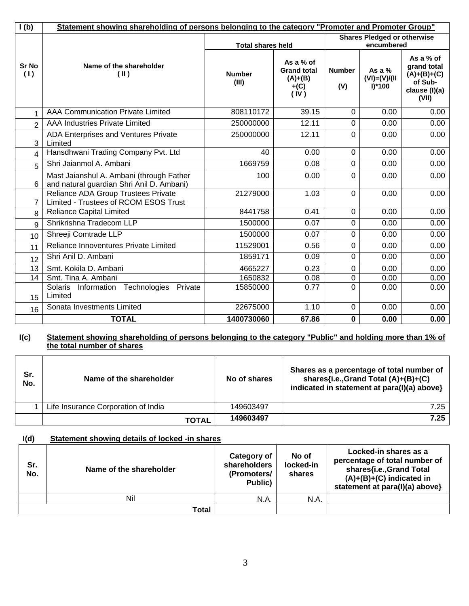| I(b)           | Statement showing shareholding of persons belonging to the category "Promoter and Promoter Group" |                        |                                                                |                      |                                           |                                                                                |  |  |
|----------------|---------------------------------------------------------------------------------------------------|------------------------|----------------------------------------------------------------|----------------------|-------------------------------------------|--------------------------------------------------------------------------------|--|--|
|                |                                                                                                   |                        | <b>Total shares held</b>                                       |                      |                                           | <b>Shares Pledged or otherwise</b><br>encumbered                               |  |  |
| Sr No<br>(1)   | Name of the shareholder<br>$(\parallel)$                                                          | <b>Number</b><br>(III) | As a % of<br><b>Grand total</b><br>$(A)+(B)$<br>$+(C)$<br>(IV) | <b>Number</b><br>(V) | As a $%$<br>$(VI) = (V)/(II)$<br>$I^*100$ | As a % of<br>grand total<br>$(A)+(B)+(C)$<br>of Sub-<br>clause (I)(a)<br>(VII) |  |  |
| $\mathbf{1}$   | <b>AAA Communication Private Limited</b>                                                          | 808110172              | 39.15                                                          | $\mathbf 0$          | 0.00                                      | 0.00                                                                           |  |  |
| $\overline{2}$ | <b>AAA Industries Private Limited</b>                                                             | 250000000              | 12.11                                                          | $\mathbf 0$          | 0.00                                      | 0.00                                                                           |  |  |
| 3              | ADA Enterprises and Ventures Private<br>Limited                                                   | 250000000              | 12.11                                                          | $\mathbf 0$          | 0.00                                      | 0.00                                                                           |  |  |
| 4              | Hansdhwani Trading Company Pvt. Ltd                                                               | 40                     | 0.00                                                           | 0                    | 0.00                                      | 0.00                                                                           |  |  |
| 5              | Shri Jaianmol A. Ambani                                                                           | 1669759                | 0.08                                                           | 0                    | 0.00                                      | 0.00                                                                           |  |  |
| 6              | Mast Jaianshul A. Ambani (through Father<br>and natural guardian Shri Anil D. Ambani)             | 100                    | 0.00                                                           | $\mathbf 0$          | 0.00                                      | 0.00                                                                           |  |  |
| 7              | Reliance ADA Group Trustees Private<br>Limited - Trustees of RCOM ESOS Trust                      | 21279000               | 1.03                                                           | $\mathbf 0$          | 0.00                                      | 0.00                                                                           |  |  |
| 8              | <b>Reliance Capital Limited</b>                                                                   | 8441758                | 0.41                                                           | $\mathbf 0$          | 0.00                                      | 0.00                                                                           |  |  |
| 9              | Shrikrishna Tradecom LLP                                                                          | 1500000                | 0.07                                                           | $\mathbf 0$          | 0.00                                      | 0.00                                                                           |  |  |
| 10             | Shreeji Comtrade LLP                                                                              | 1500000                | 0.07                                                           | $\Omega$             | 0.00                                      | 0.00                                                                           |  |  |
| 11             | Reliance Innoventures Private Limited                                                             | 11529001               | 0.56                                                           | $\pmb{0}$            | 0.00                                      | 0.00                                                                           |  |  |
| 12             | Shri Anil D. Ambani                                                                               | 1859171                | 0.09                                                           | $\mathbf 0$          | 0.00                                      | 0.00                                                                           |  |  |
| 13             | Smt. Kokila D. Ambani                                                                             | 4665227                | 0.23                                                           | $\mathbf 0$          | 0.00                                      | 0.00                                                                           |  |  |
| 14             | Smt. Tina A. Ambani                                                                               | 1650832                | 0.08                                                           | $\mathbf 0$          | 0.00                                      | 0.00                                                                           |  |  |
| 15             | Technologies<br>Solaris<br>Information<br>Private<br>Limited                                      | 15850000               | 0.77                                                           | $\mathbf 0$          | 0.00                                      | 0.00                                                                           |  |  |
| 16             | Sonata Investments Limited                                                                        | 22675000               | 1.10                                                           | $\mathbf 0$          | 0.00                                      | 0.00                                                                           |  |  |
|                | <b>TOTAL</b>                                                                                      | 1400730060             | 67.86                                                          | $\bf{0}$             | 0.00                                      | 0.00                                                                           |  |  |

#### **I(c) Statement showing shareholding of persons belonging to the category "Public" and holding more than 1% of the total number of shares**

| Sr.<br>No. | Name of the shareholder             | No of shares | Shares as a percentage of total number of<br>shares{i.e., Grand Total (A)+(B)+(C)<br>indicated in statement at para(I)(a) above} |
|------------|-------------------------------------|--------------|----------------------------------------------------------------------------------------------------------------------------------|
|            | Life Insurance Corporation of India | 149603497    | 7.25                                                                                                                             |
|            | TOTAL                               | 149603497    | 7.25                                                                                                                             |

## **I(d) Statement showing details of locked -in shares**

| Sr.<br>No. | Name of the shareholder | Category of<br>shareholders<br>(Promoters/<br>Public) | No of<br>locked-in<br>shares | Locked-in shares as a<br>percentage of total number of<br>shares{i.e., Grand Total<br>$(A)+(B)+(C)$ indicated in<br>statement at para(I)(a) above} |
|------------|-------------------------|-------------------------------------------------------|------------------------------|----------------------------------------------------------------------------------------------------------------------------------------------------|
|            | Nil                     | N.A.                                                  | N.A.                         |                                                                                                                                                    |
|            | Total                   |                                                       |                              |                                                                                                                                                    |